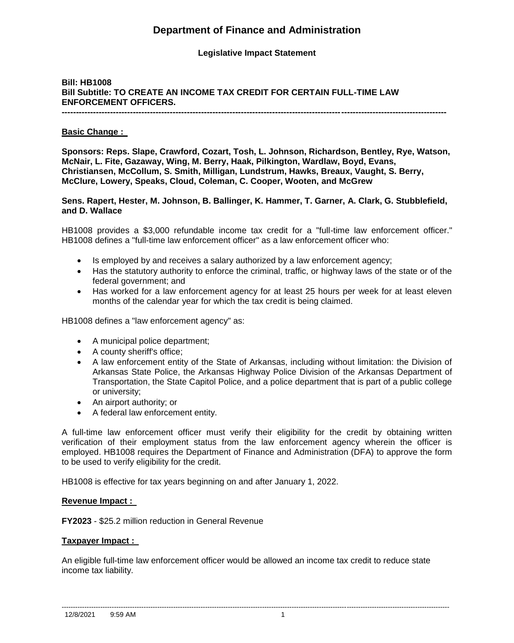## **Department of Finance and Administration**

### **Legislative Impact Statement**

## **Bill: HB1008 Bill Subtitle: TO CREATE AN INCOME TAX CREDIT FOR CERTAIN FULL-TIME LAW ENFORCEMENT OFFICERS.**

**---------------------------------------------------------------------------------------------------------------------------------------**

#### **Basic Change :**

**Sponsors: Reps. Slape, Crawford, Cozart, Tosh, L. Johnson, Richardson, Bentley, Rye, Watson, McNair, L. Fite, Gazaway, Wing, M. Berry, Haak, Pilkington, Wardlaw, Boyd, Evans, Christiansen, McCollum, S. Smith, Milligan, Lundstrum, Hawks, Breaux, Vaught, S. Berry, McClure, Lowery, Speaks, Cloud, Coleman, C. Cooper, Wooten, and McGrew** 

**Sens. Rapert, Hester, M. Johnson, B. Ballinger, K. Hammer, T. Garner, A. Clark, G. Stubblefield, and D. Wallace** 

HB1008 provides a \$3,000 refundable income tax credit for a "full-time law enforcement officer." HB1008 defines a "full-time law enforcement officer" as a law enforcement officer who:

- Is employed by and receives a salary authorized by a law enforcement agency;
- Has the statutory authority to enforce the criminal, traffic, or highway laws of the state or of the federal government; and
- Has worked for a law enforcement agency for at least 25 hours per week for at least eleven months of the calendar year for which the tax credit is being claimed.

HB1008 defines a "law enforcement agency" as:

- A municipal police department;
- A county sheriff's office;
- A law enforcement entity of the State of Arkansas, including without limitation: the Division of Arkansas State Police, the Arkansas Highway Police Division of the Arkansas Department of Transportation, the State Capitol Police, and a police department that is part of a public college or university;
- An airport authority; or
- A federal law enforcement entity.

A full-time law enforcement officer must verify their eligibility for the credit by obtaining written verification of their employment status from the law enforcement agency wherein the officer is employed. HB1008 requires the Department of Finance and Administration (DFA) to approve the form to be used to verify eligibility for the credit.

HB1008 is effective for tax years beginning on and after January 1, 2022.

#### **Revenue Impact :**

**FY2023** - \$25.2 million reduction in General Revenue

#### **Taxpayer Impact :**

An eligible full-time law enforcement officer would be allowed an income tax credit to reduce state income tax liability.

--------------------------------------------------------------------------------------------------------------------------------------------------------------------------